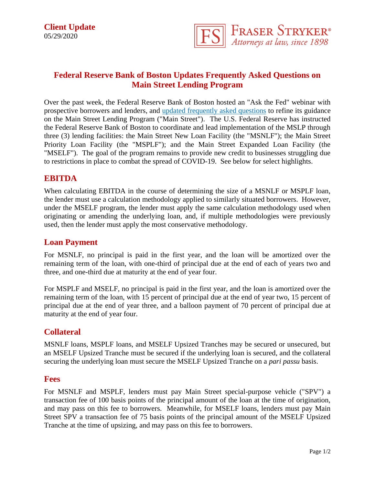

# **Federal Reserve Bank of Boston Updates Frequently Asked Questions on Main Street Lending Program**

Over the past week, the Federal Reserve Bank of Boston hosted an "Ask the Fed" webinar with prospective borrowers and lenders, and [updated frequently asked questions](https://www.fraserstryker.com/wp-content/uploads/2020/05/MSLP-Frequently-Asked-Questions-05_27_2020.pdf) to refine its guidance on the Main Street Lending Program ("Main Street"). The U.S. Federal Reserve has instructed the Federal Reserve Bank of Boston to coordinate and lead implementation of the MSLP through three (3) lending facilities: the Main Street New Loan Facility (the "MSNLF"); the Main Street Priority Loan Facility (the "MSPLF"); and the Main Street Expanded Loan Facility (the "MSELF"). The goal of the program remains to provide new credit to businesses struggling due to restrictions in place to combat the spread of COVID-19. See below for select highlights.

#### **EBITDA**

When calculating EBITDA in the course of determining the size of a MSNLF or MSPLF loan, the lender must use a calculation methodology applied to similarly situated borrowers. However, under the MSELF program, the lender must apply the same calculation methodology used when originating or amending the underlying loan, and, if multiple methodologies were previously used, then the lender must apply the most conservative methodology.

#### **Loan Payment**

For MSNLF, no principal is paid in the first year, and the loan will be amortized over the remaining term of the loan, with one-third of principal due at the end of each of years two and three, and one-third due at maturity at the end of year four.

For MSPLF and MSELF, no principal is paid in the first year, and the loan is amortized over the remaining term of the loan, with 15 percent of principal due at the end of year two, 15 percent of principal due at the end of year three, and a balloon payment of 70 percent of principal due at maturity at the end of year four.

## **Collateral**

MSNLF loans, MSPLF loans, and MSELF Upsized Tranches may be secured or unsecured, but an MSELF Upsized Tranche must be secured if the underlying loan is secured, and the collateral securing the underlying loan must secure the MSELF Upsized Tranche on a *pari passu* basis.

#### **Fees**

For MSNLF and MSPLF, lenders must pay Main Street special-purpose vehicle ("SPV") a transaction fee of 100 basis points of the principal amount of the loan at the time of origination, and may pass on this fee to borrowers. Meanwhile, for MSELF loans, lenders must pay Main Street SPV a transaction fee of 75 basis points of the principal amount of the MSELF Upsized Tranche at the time of upsizing, and may pass on this fee to borrowers.